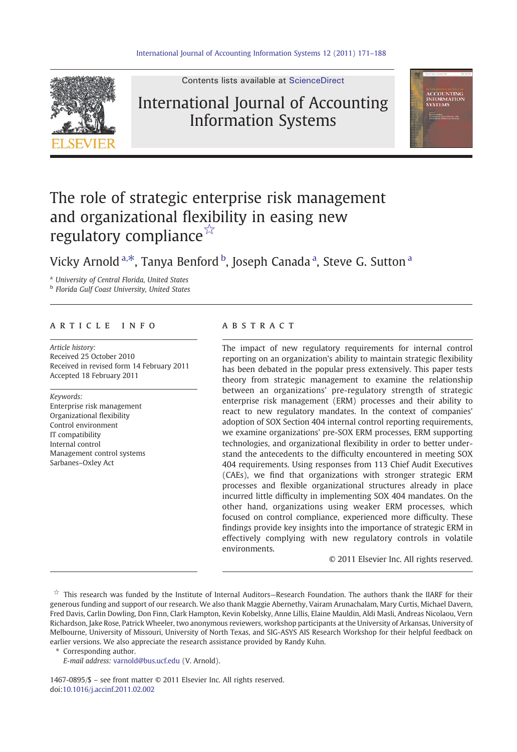

Contents lists available at [ScienceDirect](http://www.sciencedirect.com/science/journal/14670895)

## International Journal of Accounting Information Systems



# The role of strategic enterprise risk management and organizational flexibility in easing new regulatory compliance☆

### Vicky Arnold <sup>a,\*</sup>, Tanya Benford <sup>b</sup>, Joseph Canada <sup>a</sup>, Steve G. Sutton <sup>a</sup>

<sup>a</sup> University of Central Florida, United States

**b** Florida Gulf Coast University, United States

### article info abstract

Article history: Received 25 October 2010 Received in revised form 14 February 2011 Accepted 18 February 2011

#### Keywords:

Enterprise risk management Organizational flexibility Control environment IT compatibility Internal control Management control systems Sarbanes–Oxley Act

The impact of new regulatory requirements for internal control reporting on an organization's ability to maintain strategic flexibility has been debated in the popular press extensively. This paper tests theory from strategic management to examine the relationship between an organizations' pre-regulatory strength of strategic enterprise risk management (ERM) processes and their ability to react to new regulatory mandates. In the context of companies' adoption of SOX Section 404 internal control reporting requirements, we examine organizations' pre-SOX ERM processes, ERM supporting technologies, and organizational flexibility in order to better understand the antecedents to the difficulty encountered in meeting SOX 404 requirements. Using responses from 113 Chief Audit Executives (CAEs), we find that organizations with stronger strategic ERM processes and flexible organizational structures already in place incurred little difficulty in implementing SOX 404 mandates. On the other hand, organizations using weaker ERM processes, which focused on control compliance, experienced more difficulty. These findings provide key insights into the importance of strategic ERM in effectively complying with new regulatory controls in volatile environments.

© 2011 Elsevier Inc. All rights reserved.

Corresponding author.

E-mail address: [varnold@bus.ucf.edu](mailto:varnold@bus.ucf.edu) (V. Arnold).

1467-0895/\$ – see front matter © 2011 Elsevier Inc. All rights reserved. doi:[10.1016/j.accinf.2011.02.002](http://dx.doi.org/10.1016/j.accinf.2011.02.002)

<sup>☆</sup> This research was funded by the Institute of Internal Auditors—Research Foundation. The authors thank the IIARF for their generous funding and support of our research. We also thank Maggie Abernethy, Vairam Arunachalam, Mary Curtis, Michael Davern, Fred Davis, Carlin Dowling, Don Finn, Clark Hampton, Kevin Kobelsky, Anne Lillis, Elaine Mauldin, Aldi Masli, Andreas Nicolaou, Vern Richardson, Jake Rose, Patrick Wheeler, two anonymous reviewers, workshop participants at the University of Arkansas, University of Melbourne, University of Missouri, University of North Texas, and SIG-ASYS AIS Research Workshop for their helpful feedback on earlier versions. We also appreciate the research assistance provided by Randy Kuhn.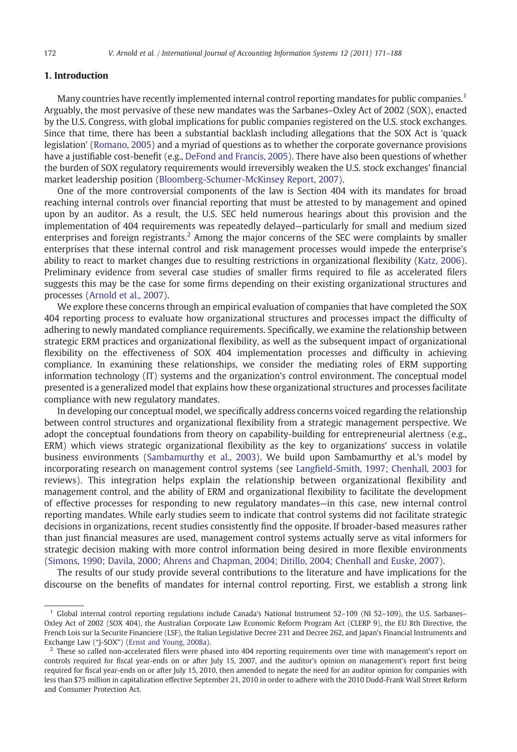#### 1. Introduction

Many countries have recently implemented internal control reporting mandates for public companies.<sup>1</sup> Arguably, the most pervasive of these new mandates was the Sarbanes–Oxley Act of 2002 (SOX), enacted by the U.S. Congress, with global implications for public companies registered on the U.S. stock exchanges. Since that time, there has been a substantial backlash including allegations that the SOX Act is 'quack legislation' ([Romano, 2005\)](#page--1-0) and a myriad of questions as to whether the corporate governance provisions have a justifiable cost-benefit (e.g., [DeFond and Francis, 2005\)](#page--1-0). There have also been questions of whether the burden of SOX regulatory requirements would irreversibly weaken the U.S. stock exchanges' financial market leadership position [\(Bloomberg-Schumer-McKinsey Report, 2007\)](#page--1-0).

One of the more controversial components of the law is Section 404 with its mandates for broad reaching internal controls over financial reporting that must be attested to by management and opined upon by an auditor. As a result, the U.S. SEC held numerous hearings about this provision and the implementation of 404 requirements was repeatedly delayed—particularly for small and medium sized enterprises and foreign registrants.<sup>2</sup> Among the major concerns of the SEC were complaints by smaller enterprises that these internal control and risk management processes would impede the enterprise's ability to react to market changes due to resulting restrictions in organizational flexibility ([Katz, 2006](#page--1-0)). Preliminary evidence from several case studies of smaller firms required to file as accelerated filers suggests this may be the case for some firms depending on their existing organizational structures and processes ([Arnold et al., 2007](#page--1-0)).

We explore these concerns through an empirical evaluation of companies that have completed the SOX 404 reporting process to evaluate how organizational structures and processes impact the difficulty of adhering to newly mandated compliance requirements. Specifically, we examine the relationship between strategic ERM practices and organizational flexibility, as well as the subsequent impact of organizational flexibility on the effectiveness of SOX 404 implementation processes and difficulty in achieving compliance. In examining these relationships, we consider the mediating roles of ERM supporting information technology (IT) systems and the organization's control environment. The conceptual model presented is a generalized model that explains how these organizational structures and processes facilitate compliance with new regulatory mandates.

In developing our conceptual model, we specifically address concerns voiced regarding the relationship between control structures and organizational flexibility from a strategic management perspective. We adopt the conceptual foundations from theory on capability-building for entrepreneurial alertness (e.g., ERM) which views strategic organizational flexibility as the key to organizations' success in volatile business environments [\(Sambamurthy et al., 2003\)](#page--1-0). We build upon Sambamurthy et al.'s model by incorporating research on management control systems (see Langfi[eld-Smith, 1997; Chenhall, 2003](#page--1-0) for reviews). This integration helps explain the relationship between organizational flexibility and management control, and the ability of ERM and organizational flexibility to facilitate the development of effective processes for responding to new regulatory mandates—in this case, new internal control reporting mandates. While early studies seem to indicate that control systems did not facilitate strategic decisions in organizations, recent studies consistently find the opposite. If broader-based measures rather than just financial measures are used, management control systems actually serve as vital informers for strategic decision making with more control information being desired in more flexible environments ([Simons, 1990; Davila, 2000; Ahrens and Chapman, 2004; Ditillo, 2004; Chenhall and Euske, 2007\)](#page--1-0).

The results of our study provide several contributions to the literature and have implications for the discourse on the benefits of mandates for internal control reporting. First, we establish a strong link

<sup>&</sup>lt;sup>1</sup> Global internal control reporting regulations include Canada's National Instrument 52-109 (NI 52-109), the U.S. Sarbanes-Oxley Act of 2002 (SOX 404), the Australian Corporate Law Economic Reform Program Act (CLERP 9), the EU 8th Directive, the French Lois sur la Securite Financiere (LSF), the Italian Legislative Decree 231 and Decree 262, and Japan's Financial Instruments and Exchange Law ("J-SOX") ([Ernst and Young, 2008a](#page--1-0)).

<sup>&</sup>lt;sup>2</sup> These so called non-accelerated filers were phased into 404 reporting requirements over time with management's report on controls required for fiscal year-ends on or after July 15, 2007, and the auditor's opinion on management's report first being required for fiscal year-ends on or after July 15, 2010, then amended to negate the need for an auditor opinion for companies with less than \$75 million in capitalization effective September 21, 2010 in order to adhere with the 2010 Dodd-Frank Wall Street Reform and Consumer Protection Act.